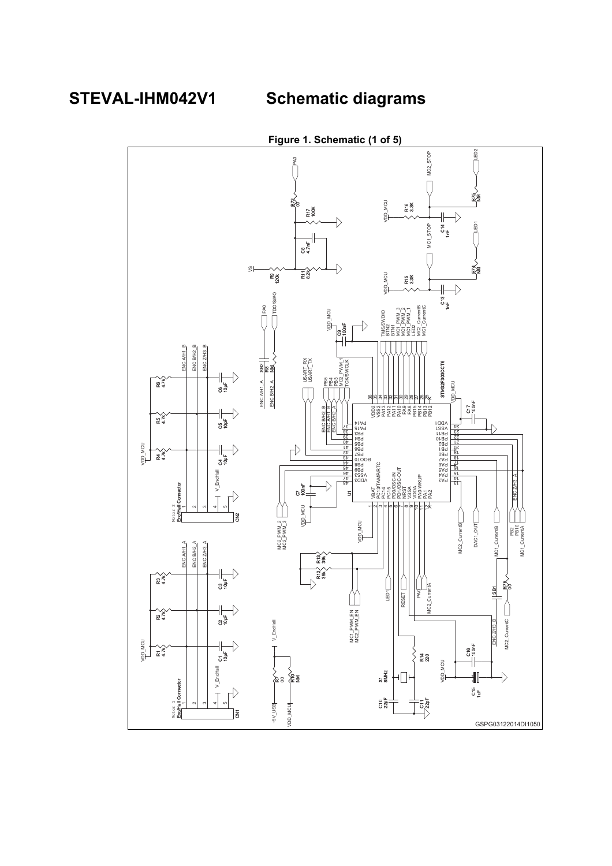**STEVAL-IHM042V1 Schematic diagrams**

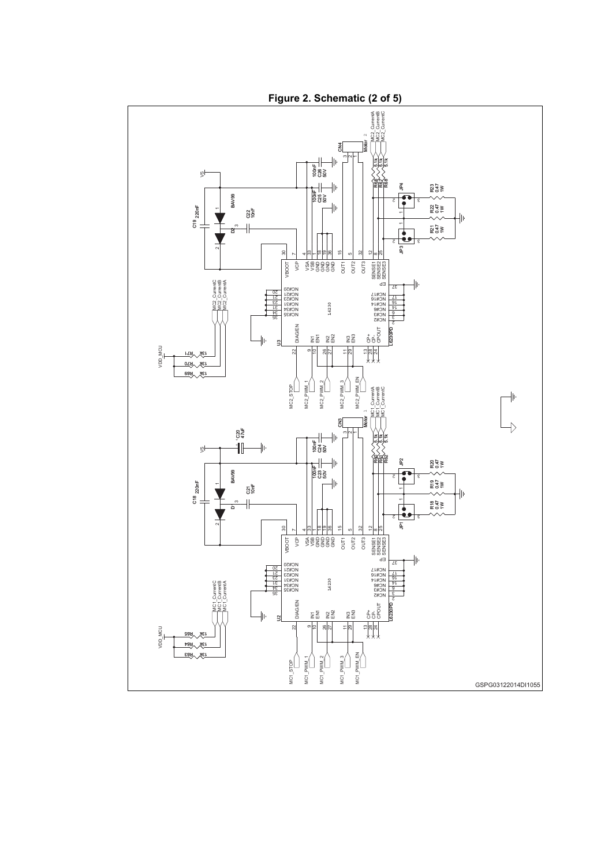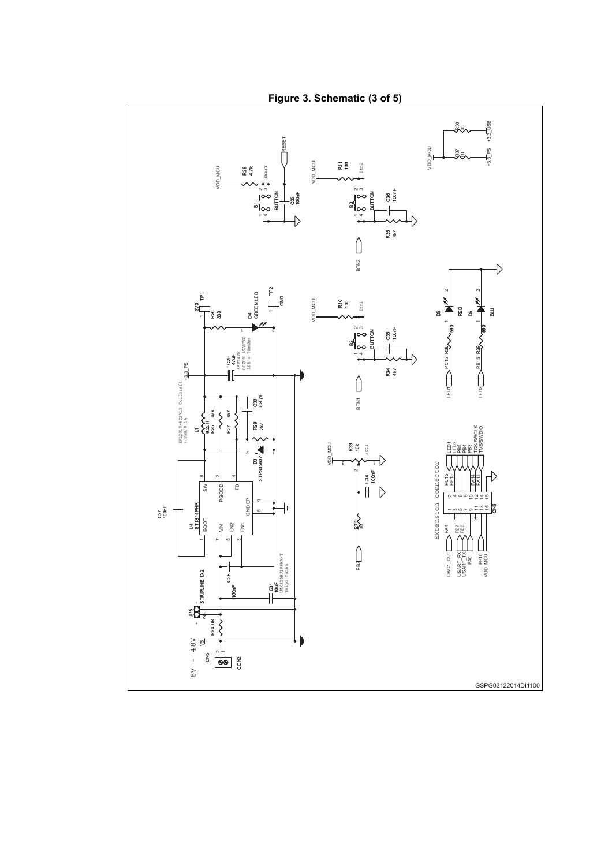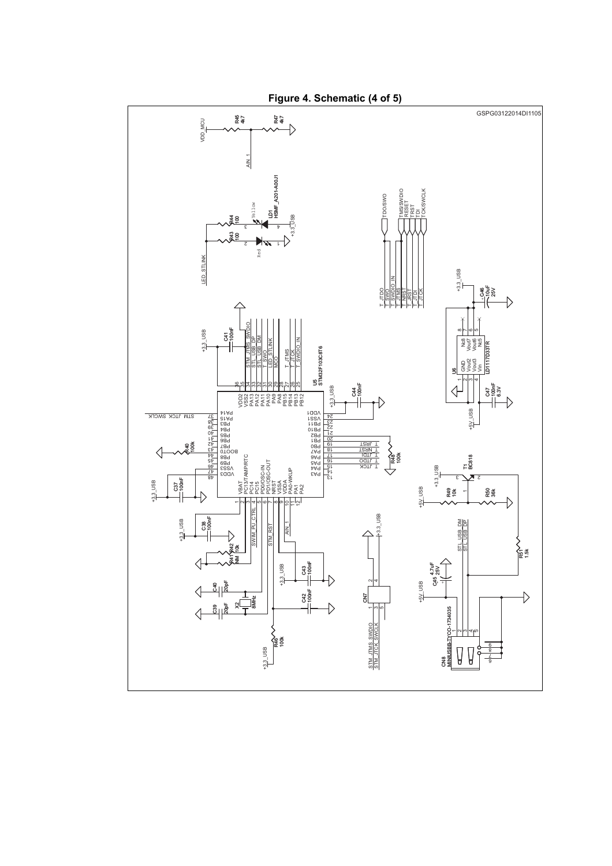

**Figure 4. Schematic (4 of 5)**